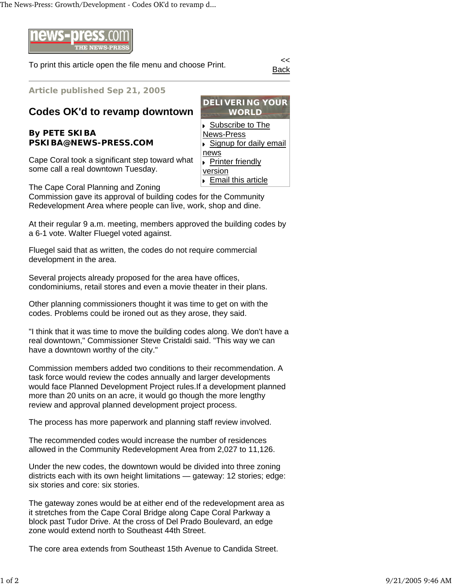The News-Press: Growth/Development - Codes OK'd to revamp d...



To print this article open the file menu and choose Print.

Back

**Article published Sep 21, 2005**

## **Codes OK'd to revamp downtown**

**By PETE SKIBA PSKIBA@NEWS-PRESS.COM** 

Cape Coral took a significant step toward what some call a real downtown Tuesday.

The Cape Coral Planning and Zoning

Commission gave its approval of building codes for the Community Redevelopment Area where people can live, work, shop and dine.

At their regular 9 a.m. meeting, members approved the building codes by a 6-1 vote. Walter Fluegel voted against.

Fluegel said that as written, the codes do not require commercial development in the area.

Several projects already proposed for the area have offices, condominiums, retail stores and even a movie theater in their plans.

Other planning commissioners thought it was time to get on with the codes. Problems could be ironed out as they arose, they said.

"I think that it was time to move the building codes along. We don't have a real downtown," Commissioner Steve Cristaldi said. "This way we can have a downtown worthy of the city."

Commission members added two conditions to their recommendation. A task force would review the codes annually and larger developments would face Planned Development Project rules.If a development planned more than 20 units on an acre, it would go though the more lengthy review and approval planned development project process.

The process has more paperwork and planning staff review involved.

The recommended codes would increase the number of residences allowed in the Community Redevelopment Area from 2,027 to 11,126.

Under the new codes, the downtown would be divided into three zoning districts each with its own height limitations — gateway: 12 stories; edge: six stories and core: six stories.

The gateway zones would be at either end of the redevelopment area as it stretches from the Cape Coral Bridge along Cape Coral Parkway a block past Tudor Drive. At the cross of Del Prado Boulevard, an edge zone would extend north to Southeast 44th Street.

The core area extends from Southeast 15th Avenue to Candida Street.

**DELIVERING YOUR WORLD** Subscribe to The News-Press ■ Signup for daily email news **Printer friendly** version ▶ Email this article